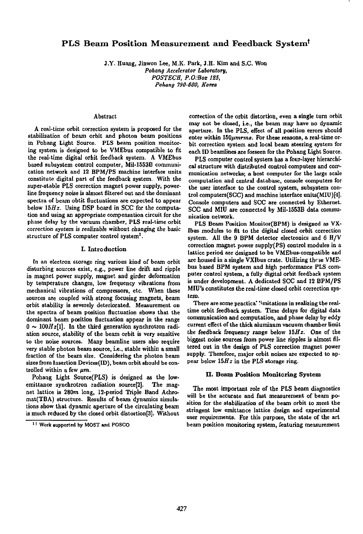# PLS Beam Position Measurement and Feedback System'

J.Y. Huang, Jinwon Lee, M.K. Park, J.H. Kim and S.C. Won *Pohang Accelerator Laboratory, POSTECH, P.OcBoz 125, Pohang 790-600, Korea* 

## Abstract

A real-time orbit correction system is proposed for the stabilization of beam orbit and photon beam positions in Pohang Light Source. PLS beam position monitoring system is designed to be VMEbus compatible to fit the real-time digital orbit feedback system. A VMEbus based subsystem control computer, Mil-1553B communication network and 12 BPM/PS machine interface units constitute digital part of the feedback system. With the super-stable PLS correction magnet power supply, powerline frequency noise is almost filtered out and the dominant spectra of beam obtit fluctuations are expected to appear below  $15Hz$ . Using DSP board in SCC for the computation and using an appropriate compensation circuit for the phase delay by the vacuum chamber, PLS real-time orbit correction system is realizable without changing the basic structure of PLS computer control system<sup>1</sup>.

#### I. Introduction

In an electron storage ring various kind of beam orbit disturbing sources exist, e.g., power line drift and ripple in magnet power supply, magnet and girder deformation by temperature changes, low frequency vibrations from mechanical vibrations of compressors, etc. When these sources are coupled with strong focusing magnets, beam orbit stability is severely deteriorated. Measurement on the spectra of beam position fluctuation shows that the dominant beam position fluctuation appear in the range  $0 \sim 100 Hz[1]$ . In the third generation synchrotron radiation source, stability of the beam orbit is very sensitive to the noise sources. Many beamline users also require very stable photon beam source, i.e., stable within a small fraction of the beam size. Considering the photon beam sizes from Insertion Devices(ID), beam orbit should be controlled within a few *pm.* 

Pohang Light Source(PLS) is designed as the lowemittance synchrotron radiation source<sup>[2]</sup>. The magnet lattice is 280m long, 12-period Triple Band Achromat(TBA) structure. Results of beam dynamics simulations show that dynamic aperture of the circulating beam is much reduced by the closed orbit distortion[3]. Without correction of the orbit distortion, even a single turn orbit may not be closed, i.e., the beam may have no dynamic aperture. In the PLS, effect of all position errors should enter within  $150 \mu m$ rms. For these reasons, a real-time orbit correction system and local beam steering system for each ID beamlines are forseen for the Pohang Light Source.

PLS computer control system has a four-layer hierarchical structure with distributed control computers and communication networks; a host computer for the large scale computation and central database, console computers for the user interface to the control system, subsystem control computers(SCC) and machine interface units(MIU)[4j. Console computers and SCC are connected by Ethernet. SCC and MIU are connected by Mil-1553B data communication network.

PLS Beam Position Monitor(BPM) is designed as VX-Ibus modules to fit to the digital closed orbit correction system. All the 9 BPM detector electronics and 6 H/V correction magnet power supply(PS) control modules in a lattice period are designed to be VMEbus-compatible and are housed in a single VXIbus crate. Utilizing thrse VMEbus based BPM system and high performance PLS computer control system, a fully digital orbit feedback system is under development. A dedicated SCC and 12 BPM/PS MIU's constitutes the real-time closed orbit correction system.

There are some practica' limitations in realizing the realtime orbit feedback system. Time delays for digital data communication and computation, and phase delay by eddy current effect of the thick aluminum vacuum chamber limit the feedback frequency range below *15Hz.* One of the biggest noise sources from power line ripples is almost filtered out in the design of PLS correction magnet power supply. Therefore, major orbit noises are expected to appear below *15Hz* in the PLS storage ring.

### II. Beam Position Monitoring System

The most important role of the PLS beam diagnostics will be the accurate and fast measurement of beam position for the stabilization of the beam orbit to meet the stringent low emittance lattice design and experimental user requirements. For this purpose, the state of the art beam position monitoring system, featuring measurement

<sup>1</sup> 1 Work supported by MOST and POSCO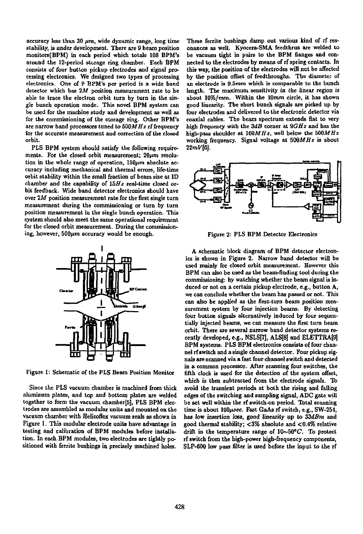accuracy less than 30  $\mu$ m, wide dynamic range, long time **stability, is under development. There axe 9 beam position monitors(BPM) in each period which totals 108 BPM's atound the 12-period storage ring chamber. Each BPM consists of four button pickup electrodes and signal processing electronics. We designed two types of processing electronics. One of P BPM's per period is a wide band detector which has** *2M* **position measurement rate to be able to trace the electron orbit turn by turn in the single bunch operation mode. This novel BPM system can be used for the machine study and development as well as for the commissioning of the storage ring. Other BPM's are narrow band processors tuned to** *500MHz* **rf frequency for the accurate measurement and correction of the closed orbit.** 

**PLS BPM system should satisfy the following require**ments. For the closed orbit measurement;  $20 \mu m$  resolution in the whole range of operation, 150 $\mu$ m absolute ac**curacy including mechanical and thermal errors, life-time orbit stability within the smalt fraction of beam size at ID chamber and the capability of** *15Hz* **real-time closed orbit feedback. Wide band detector electronics should have over** *2M* **position measurement rate for the first single turn measurement during the commissioning or turn by turn position measurement in the single bunch operation. This system should also meet the same operational requirement for the closed orbit measurement. During the commission**ing, however, 500 $\mu$ m accuracy would be enough.



**Figure 1: Schematic of the PLS Beam Position Monitor** 

**Since the PLS vacuum chamber is machined from thick aluminum plates, and top and bottom plates are welded together to form the vacuum chamber[5], PLS BPM electrodes are assembled as modular units and mounted on the vacuum chamber with Helicoflex vacuum seals as shown in Figure 1. This modular electrode units have advantage in testing and calibration of BPM modules before installation. In each BPM modules, two electrodes are tightly positioned with ferrite bushings in precisely machined holes.** 

**e These ferrite bushings damp out various kind of rf res-D onances as well. Kyocera-SMA feedthrus are welded to s be vacuum tight in pairs to the BPM flanges and con-1 nected to the electrodes by means of rf spring contacts. In - this way, the position of the electrodes will not be affected g by the position offset of feedthroughs. The diameter of d an electrode is 9.5mm which is comparable to the bunch**  length. The maximum sensitivity in the linear region is **- about 10%/mm. Within the 10mm circle, it has shown n good linearity. The short bunch signals are picked up by s four electrodes and delivered to the electronic detector via s coaxial cables. The beam spectrum extends flat to very**  *f* **high frequency with the** *ZdB* **corner at** *0GHz* **and has the i high-pass shoulder at** *16QMHz<sup>t</sup>*  **well below the** *500MHz*  **working frequency. Signal voltage at** *500MHz* **is about - 22mV[6J.** 



**Figure 2: PLS BPM Detector Electronics** 

**A schematic block diagram of BPM detector electronics is shown in Figure 2. Narrow band detector will be used mainly for closed orbit measurement. However this BPM can also be used as the beam-finding tool during the commissioning: by watching whether the beam signal is induced or not on a certain pickup electrode, e.g., button A, we can conclude whether the beam has passed or not. This can also be applied as the first-turn beam position measurement system by four injection beams. By detecting four button signals alternatively induced by four sequentially injected beams, we can measure the first turn beam orbit. There are several narrow band detector systems re**cently developed, e.g., NSLS[7], ALS[8] and ELETTRA[9] **BPM systems. PLS BPM electronics consists of four channel rf switch and a single channel detector. Four pickup signals are scanned via a fast four channel switch and detected in a common processor. After scanning four switches, the fifth clock is used for the detection of the system offset, which is then subtracted from the electrode signals. To avoid the transient periods at both the rising and falling edges of the switching and sampling signal, ADC gate will be set well within the rf switch-on period. Total scanning time is about** *lQOfisec,* **Fast GaAs rf switch, e.g., SW-254, has low insertion** *loss,* **good linearity up to** *ZZdBm* **and good thermal stability; <3% absolute and <0.4% relative drift in the temperature range of 10~50°C. To protect rf switch from the high-power high-frequency components, SLP-600 low pass filter is used before the input to the rf**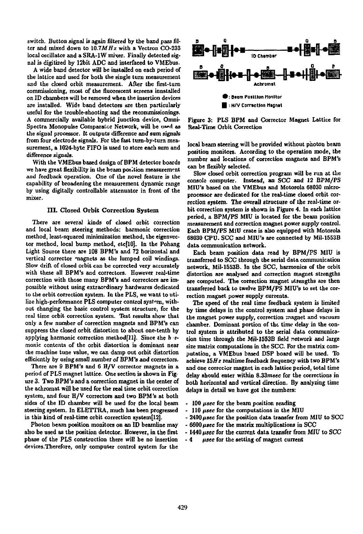switch. Button signal is again filtered by the band pass filter and mixed down to *10.7MHz* with a Vectron CO-233 local oscillator and a SRA-1W mixer. Finally detected signal is digitized by 12bit ADC and interfaced to VMEbus.

A wide band detector will be installed on each period of the lattice and used for both the single turn measurement and the closed orbit measurement. After the first-turn commissioning, most of the fluorescent screens innstalled on ID chambers will be removed when the insertion devices are installed. Wide band detectors are then particularly useful for the trouble-shooting and the reconimissionings. A commercially available hybrid junction device, Omni-Spectra Monopulse Comparator Network, will be used as the signal processor. It outputs difference and sum signals from four electrode signals. For the fast turn-by-turn measurement, a 1024-byte FIFO is used to store each sum and difference signals.

With the VMEbus based design of BPM detector boards we have great flexibility in the beam position measurement and feedback operation. One of the novel feature is the capability of broadening the measurement dynamic range by using digitally controllable attenuator in front of the mixer.

#### III. Closed Orbit Correction System

There are several kinds of closed orbit correction and local beam steering methods: harmonic correction method, least-squared minimization method, the eigenvector method, local bump method, etcflOj. In the Pohang Light Source there are 108 BPM's and 72 horizontal and vertical corrector magnets as the lumped coil windings. Slow drift of closed orbit can be corrected very accurately with these all BPM's and correctors. However real-time correction with those many BPM's and correctors are impossible without using extraordinary hardwares dedicated to the orbit correction system. In the PLS, we want to utilize high-performance PLS computer control system, without changing the basic control system structure, for the real time orbit correction system. Test results show that only a few number of correction magnets and BPM's can suppress the closed orbit distortion to about one-tenth by applying harmonic correction method[11]. Since the h rmonic contents of the orbit distortion is dominant near the machine tune value, we can damp out orbit distortion efficiently *by* using small number of BPM's and correctors.

There are 9 BPM's and 6 H/V corrector magnets in a period of PLS magnet lattice. One section is shown in Figure 3. Two BPM's and a correction magnet in the center of the achromat will be used for the real time orbit correction system, and four H/V correctors and two BPM's at both sides of the ID chamber will be used for the local beam steering system. In ELETTRA, much has been progressed in this kind of real-time orbit correction system[12].

Photon beam position monitors on an ID beamline may also be used as the position detector. However, in the first phase of the PLS construction there will be no insertion devices.Therefore, only computer control system for the



Figure 3: PLS BPM and Corrector Magnet Lattice for Real-Time Orbit Correction

local beam steering will be provided without photon beam position monitors. According to the operation mode, the number and locations of correction magnets and BPM's can be flexibly selected.

Slow closed orbit correction program will be run at the console computer. Instead, an *SCC* and *12* BPM/PS MIU's based on the VMEbus and Motorola 68030 microprocessor are dedicated for the real-time closed orbit correction system. The overall structure of the real-tune orbit correction system is shown in Figure 4. In each lattice period, a BPM/PS MIU is located for the beam position measurement and correction magnet power supply control. Each BPM/PS MiU crate is also equipped with Motorola 68030 CPU. SCC and MIU's are connected by Mil-1553B data communication network.

Each beam position data read by BPM/PS MIU is transferred to SCC through the serial data communication network, Mil-1553B. In the SCC, harmonics of the orbit distortion are analysed and correction magnet strengths are computed. The correction magnet utrengths are then transferred back to twelve BPM/PS MIU's to set the correction magnet power supply currents.

The speed of the real time feedback system is limited by time delays in the control system and phase delays in the magnet power supply, correction magnet and vacuum chamber. Dominant portion of the time delay in the control system is attributed to the serial data communication time through the Mil-1553B field network and large size matrix computations in the SCC. For the matrix computation, a VMEbus based DSP board will be used. To achieve *XhHz* realtime feedback frequency with two BPM's and one corrector magnet in each lattice period, total time delay should enter within 8.33msec for the corrections in both horizontal and vertical direction. By analyzing time delays in detail we have got the numbers:

- 100 *usee* for the beam position reading
- 110 *fisec* for the computations in the MIU
- 2400 *fisec* for the position data transfer from MIU to SCC
- 6600 *ftsec* for the matrix multiplications in SCC
- -1440 *fisec* for the current data transfer from MIU to SCC
- 4 *fisec* for the setting of magnet current